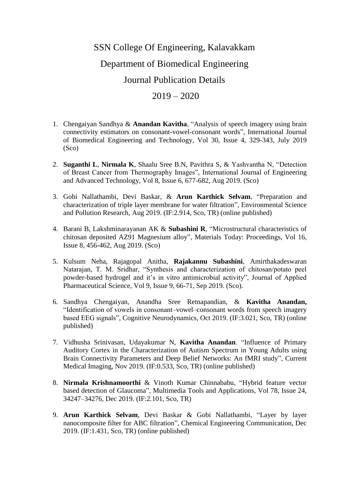## SSN College Of Engineering, Kalavakkam Department of Biomedical Engineering Journal Publication Details

## $2019 - 2020$

- 1. Chengaiyan Sandhya & **Anandan Kavitha**, "Analysis of speech imagery using brain connectivity estimators on consonant-vowel-consonant words", International Journal of Biomedical Engineering and Technology, Vol 30, Issue 4, 329-343, July 2019 (Sco)
- 2. **Suganthi L**, **Nirmala K**, Shaalu Sree B.N, Pavithra S, & Yashvantha N, "Detection of Breast Cancer from Thermography Images", International Journal of Engineering and Advanced Technology, Vol 8, Issue 6, 677-682, Aug 2019. (Sco)
- 3. Gobi Nallathambi, Devi Baskar, & **Arun Karthick Selvam**, "Preparation and characterization of triple layer membrane for water filtration", Environmental Science and Pollution Research, Aug 2019. (IF:2.914, Sco, TR) (online published)
- 4. Barani B, Lakshminarayanan AK & **Subashini R**, "Microstructural characteristics of chitosan deposited AZ91 Magnesium alloy", Materials Today: Proceedings, Vol 16, Issue 8, 456-462, Aug 2019. (Sco)
- 5. Kulsum Neha, Rajagopal Anitha, **Rajakannu Subashini**, Amirthakadeswaran Natarajan, T. M. Sridhar, "Synthesis and characterization of chitosan/potato peel powder-based hydrogel and it's in vitro antimicrobial activity", Journal of Applied Pharmaceutical Science, Vol 9, Issue 9, 66-71, Sep 2019. (Sco).
- 6. Sandhya Chengaiyan, Anandha Sree Retnapandian, & **Kavitha Anandan,**  "Identification of vowels in consonant–vowel–consonant words from speech imagery based EEG signals", Cognitive Neurodynamics, Oct 2019. (IF:3.021, Sco, TR) (online published)
- 7. Vidhusha Srinivasan, Udayakumar N, **Kavitha Anandan**. "Influence of Primary Auditory Cortex in the Characterization of Autism Spectrum in Young Adults using Brain Connectivity Parameters and Deep Belief Networks: An fMRI study", Current Medical Imaging, Nov 2019. (IF:0.533, Sco, TR) (online published)
- 8. **Nirmala Krishnamoorthi** & Vinoth Kumar Chinnababu, "Hybrid feature vector based detection of Glaucoma", Multimedia Tools and Applications, Vol 78, Issue 24, 34247–34276, Dec 2019. (IF:2.101, Sco, TR)
- 9. **Arun Karthick Selvam**, Devi Baskar & Gobi Nallathambi, "Layer by layer nanocomposite filter for ABC filtration", Chemical Engineering Communication, Dec 2019. (IF:1.431, Sco, TR) (online published)